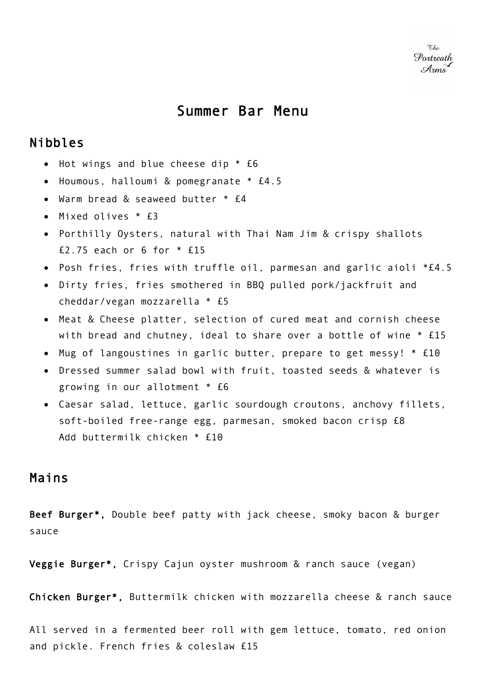## Summer Bar Menu

## Nibbles

- Hot wings and blue cheese dip \* £6
- Houmous, halloumi & pomegranate \* £4.5
- Warm bread & seaweed butter \* £4
- Mixed olives \* £3
- Porthilly Oysters, natural with Thai Nam Jim & crispy shallots £2.75 each or 6 for \* £15
- Posh fries, fries with truffle oil, parmesan and garlic aioli \*£4.5
- Dirty fries, fries smothered in BBQ pulled pork/jackfruit and cheddar/vegan mozzarella \* £5
- Meat & Cheese platter, selection of cured meat and cornish cheese with bread and chutney, ideal to share over a bottle of wine \* £15
- Mug of langoustines in garlic butter, prepare to get messy! \* £10
- Dressed summer salad bowl with fruit, toasted seeds & whatever is growing in our allotment \* £6
- Caesar salad, lettuce, garlic sourdough croutons, anchovy fillets, soft-boiled free-range egg, parmesan, smoked bacon crisp £8 Add buttermilk chicken \* £10

## Mains

Beef Burger\*, Double beef patty with jack cheese, smoky bacon & burger sauce

Veggie Burger\*, Crispy Cajun oyster mushroom & ranch sauce (vegan)

Chicken Burger\*, Buttermilk chicken with mozzarella cheese & ranch sauce

All served in a fermented beer roll with gem lettuce, tomato, red onion and pickle. French fries & coleslaw £15